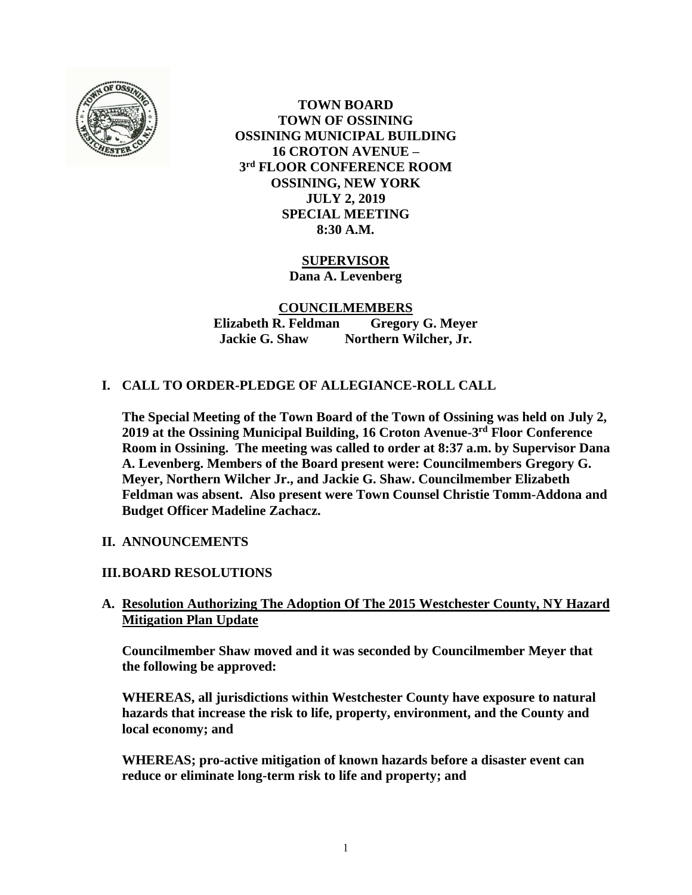

**TOWN BOARD TOWN OF OSSINING OSSINING MUNICIPAL BUILDING 16 CROTON AVENUE – 3 rd FLOOR CONFERENCE ROOM OSSINING, NEW YORK JULY 2, 2019 SPECIAL MEETING 8:30 A.M.**

> **SUPERVISOR Dana A. Levenberg**

**COUNCILMEMBERS Elizabeth R. Feldman Gregory G. Meyer Jackie G. Shaw Northern Wilcher, Jr.**

# **I. CALL TO ORDER-PLEDGE OF ALLEGIANCE-ROLL CALL**

**The Special Meeting of the Town Board of the Town of Ossining was held on July 2, 2019 at the Ossining Municipal Building, 16 Croton Avenue-3 rd Floor Conference Room in Ossining. The meeting was called to order at 8:37 a.m. by Supervisor Dana A. Levenberg. Members of the Board present were: Councilmembers Gregory G. Meyer, Northern Wilcher Jr., and Jackie G. Shaw. Councilmember Elizabeth Feldman was absent. Also present were Town Counsel Christie Tomm-Addona and Budget Officer Madeline Zachacz.**

#### **II. ANNOUNCEMENTS**

#### **III.BOARD RESOLUTIONS**

### **A. Resolution Authorizing The Adoption Of The 2015 Westchester County, NY Hazard Mitigation Plan Update**

**Councilmember Shaw moved and it was seconded by Councilmember Meyer that the following be approved:**

**WHEREAS, all jurisdictions within Westchester County have exposure to natural hazards that increase the risk to life, property, environment, and the County and local economy; and**

**WHEREAS; pro-active mitigation of known hazards before a disaster event can reduce or eliminate long-term risk to life and property; and**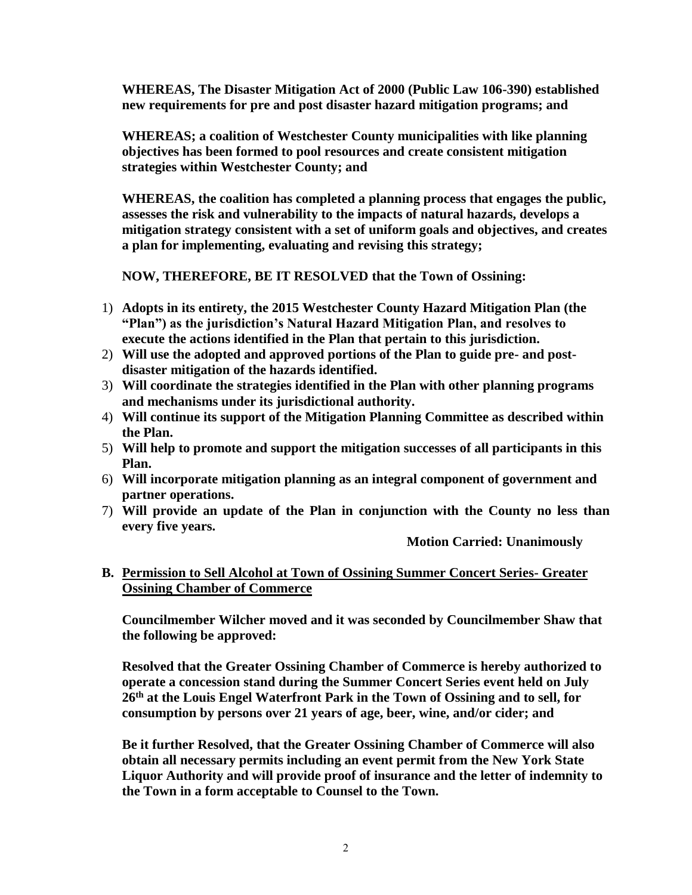**WHEREAS, The Disaster Mitigation Act of 2000 (Public Law 106-390) established new requirements for pre and post disaster hazard mitigation programs; and**

**WHEREAS; a coalition of Westchester County municipalities with like planning objectives has been formed to pool resources and create consistent mitigation strategies within Westchester County; and**

**WHEREAS, the coalition has completed a planning process that engages the public, assesses the risk and vulnerability to the impacts of natural hazards, develops a mitigation strategy consistent with a set of uniform goals and objectives, and creates a plan for implementing, evaluating and revising this strategy;**

**NOW, THEREFORE, BE IT RESOLVED that the Town of Ossining:**

- 1) **Adopts in its entirety, the 2015 Westchester County Hazard Mitigation Plan (the "Plan") as the jurisdiction's Natural Hazard Mitigation Plan, and resolves to execute the actions identified in the Plan that pertain to this jurisdiction.**
- 2) **Will use the adopted and approved portions of the Plan to guide pre- and postdisaster mitigation of the hazards identified.**
- 3) **Will coordinate the strategies identified in the Plan with other planning programs and mechanisms under its jurisdictional authority.**
- 4) **Will continue its support of the Mitigation Planning Committee as described within the Plan.**
- 5) **Will help to promote and support the mitigation successes of all participants in this Plan.**
- 6) **Will incorporate mitigation planning as an integral component of government and partner operations.**
- 7) **Will provide an update of the Plan in conjunction with the County no less than every five years.**

**Motion Carried: Unanimously**

**B. Permission to Sell Alcohol at Town of Ossining Summer Concert Series- Greater Ossining Chamber of Commerce**

**Councilmember Wilcher moved and it was seconded by Councilmember Shaw that the following be approved:**

**Resolved that the Greater Ossining Chamber of Commerce is hereby authorized to operate a concession stand during the Summer Concert Series event held on July 26th at the Louis Engel Waterfront Park in the Town of Ossining and to sell, for consumption by persons over 21 years of age, beer, wine, and/or cider; and** 

**Be it further Resolved, that the Greater Ossining Chamber of Commerce will also obtain all necessary permits including an event permit from the New York State Liquor Authority and will provide proof of insurance and the letter of indemnity to the Town in a form acceptable to Counsel to the Town.**